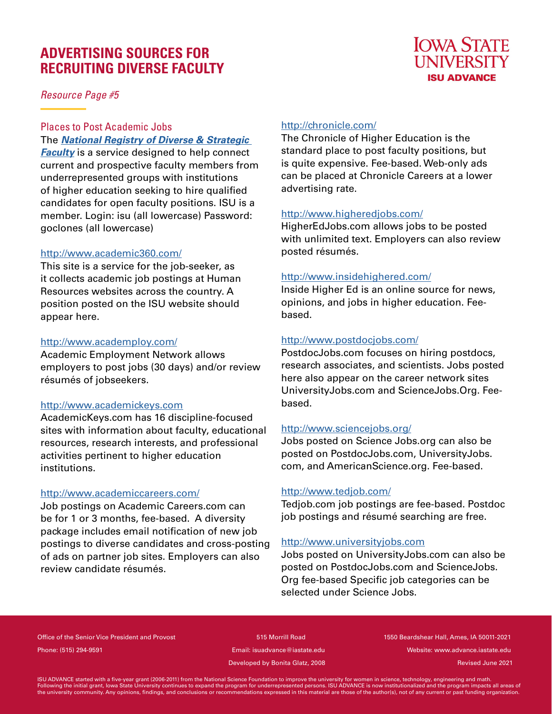# **ADVERTISING SOURCES FOR RECRUITING DIVERSE FACULTY**

*Resource Page #5*

#### Places to Post Academic Jobs The *National Registry of Diverse & Strategic*

*Faculty* is a service designed to help connect current and prospective faculty members from underrepresented groups with institutions of higher education seeking to hire qualified candidates for open faculty positions. ISU is a member. Login: isu (all lowercase) Password: goclones (all lowercase)

#### http://www.academic360.com/

This site is a service for the job-seeker, as it collects academic job postings at Human Resources websites across the country. A position posted on the ISU website should appear here.

#### http://www.academploy.com/

Academic Employment Network allows employers to post jobs (30 days) and/or review résumés of jobseekers.

#### http://www.academickeys.com

AcademicKeys.com has 16 discipline-focused sites with information about faculty, educational resources, research interests, and professional activities pertinent to higher education institutions.

#### http://www.academiccareers.com/

Job postings on Academic Careers.com can be for 1 or 3 months, fee-based. A diversity package includes email notification of new job postings to diverse candidates and cross-posting of ads on partner job sites. Employers can also review candidate résumés.

# http://chronicle.com/

The Chronicle of Higher Education is the standard place to post faculty positions, but is quite expensive. Fee-based. Web-only ads can be placed at Chronicle Careers at a lower advertising rate.

**IOWA STATE I INIVERSITY ISU ADVANCE** 

#### http://www.higheredjobs.com/

HigherEdJobs.com allows jobs to be posted with unlimited text. Employers can also review posted résumés.

#### http://www.insidehighered.com/

Inside Higher Ed is an online source for news, opinions, and jobs in higher education. Feebased.

# http://www.postdocjobs.com/

PostdocJobs.com focuses on hiring postdocs, research associates, and scientists. Jobs posted here also appear on the career network sites UniversityJobs.com and ScienceJobs.Org. Feebased.

# http://www.sciencejobs.org/

Jobs posted on Science Jobs.org can also be posted on PostdocJobs.com, UniversityJobs. com, and AmericanScience.org. Fee-based.

# http://www.tedjob.com/

Tedjob.com job postings are fee-based. Postdoc job postings and résumé searching are free.

# http://www.universityjobs.com

Jobs posted on UniversityJobs.com can also be posted on PostdocJobs.com and ScienceJobs. Org fee-based Specific job categories can be selected under Science Jobs.

Office of the Senior Vice President and Provost 515 Morrill Road 1550 Beardshear Hall, Ames, IA 50011-2021 Phone: (515) 294-9591 Email: isuadvance@iastate.edu Website: www.advance.iastate.edu

Developed by Bonita Glatz, 2008

Revised June 2021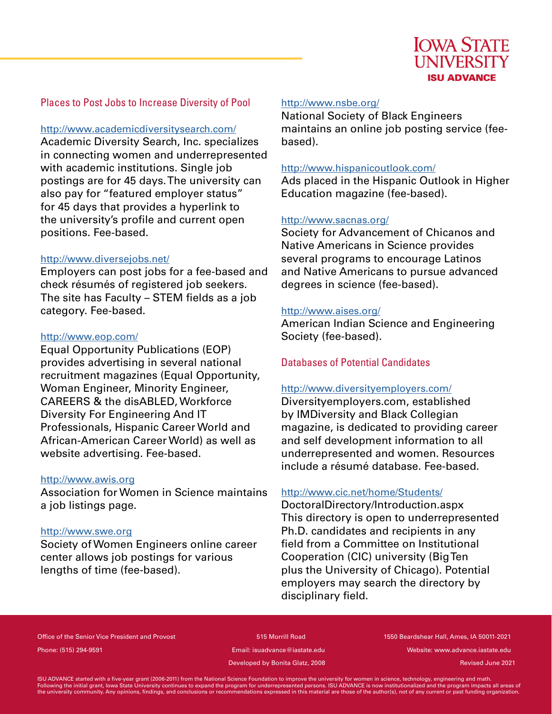# Places to Post Jobs to Increase Diversity of Pool

#### http://www.academicdiversitysearch.com/

Academic Diversity Search, Inc. specializes in connecting women and underrepresented with academic institutions. Single job postings are for 45 days. The university can also pay for "featured employer status" for 45 days that provides a hyperlink to the university's profile and current open positions. Fee-based.

#### http://www.diversejobs.net/

Employers can post jobs for a fee-based and check résumés of registered job seekers. The site has Faculty  $-$  STEM fields as a job category. Fee-based.

#### http://www.eop.com/

Equal Opportunity Publications (EOP) provides advertising in several national recruitment magazines (Equal Opportunity, Woman Engineer, Minority Engineer, CAREERS & the disABLED, Workforce Diversity For Engineering And IT Professionals, Hispanic Career World and African-American Career World) as well as website advertising. Fee-based.

#### http://www.awis.org

Association for Women in Science maintains a job listings page.

#### http://www.swe.org

Society of Women Engineers online career center allows job postings for various lengths of time (fee-based).

#### http://www.nsbe.org/

National Society of Black Engineers maintains an online job posting service (feebased).

#### http://www.hispanicoutlook.com/

Ads placed in the Hispanic Outlook in Higher Education magazine (fee-based).

#### http://www.sacnas.org/

Society for Advancement of Chicanos and Native Americans in Science provides several programs to encourage Latinos and Native Americans to pursue advanced degrees in science (fee-based).

#### http://www.aises.org/

American Indian Science and Engineering Society (fee-based).

# Databases of Potential Candidates

#### http://www.diversityemployers.com/

Diversityemployers.com, established by IMDiversity and Black Collegian magazine, is dedicated to providing career and self development information to all underrepresented and women. Resources include a résumé database. Fee-based.

#### http://www.cic.net/home/Students/

DoctoralDirectory/Introduction.aspx This directory is open to underrepresented Ph.D. candidates and recipients in any field from a Committee on Institutional Cooperation (CIC) university (Big Ten plus the University of Chicago). Potential employers may search the directory by disciplinary field.

Office of the Senior Vice President and Provost 615 Morrill Road 1550 Beardshear Hall, Ames, IA 50011-2021 Phone: (515) 294-9591 Email: isuadvance@iastate.edu Website: www.advance.iastate.edu

Developed by Bonita Glatz, 2008

Revised June 2021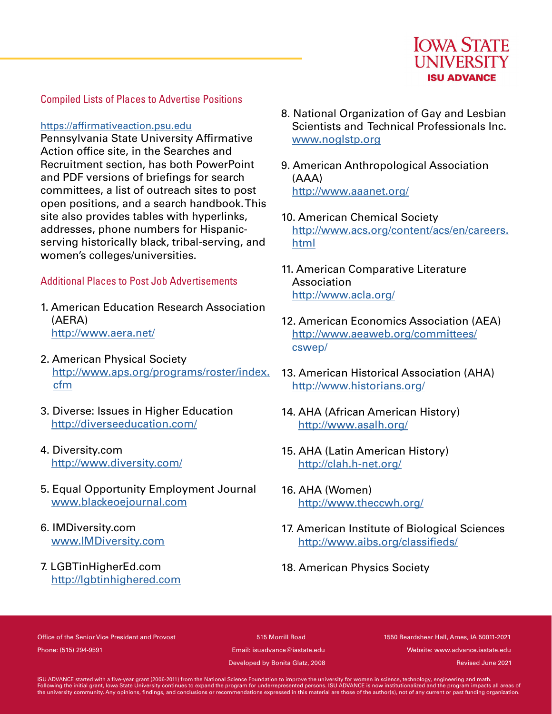

# Compiled Lists of Places to Advertise Positions

#### https://affirmativeaction.psu.edu

Pennsylvania State University Affirmative Action office site, in the Searches and Recruitment section, has both PowerPoint and PDF versions of briefings for search committees, a list of outreach sites to post open positions, and a search handbook. This site also provides tables with hyperlinks, addresses, phone numbers for Hispanicserving historically black, tribal-serving, and women's colleges/universities.

# Additional Places to Post Job Advertisements

- 1. American Education Research Association (AERA) http://www.aera.net/
- 2. American Physical Society http://www.aps.org/programs/roster/index. cfm
- 3. Diverse: Issues in Higher Education http://diverseeducation.com/
- 4. Diversity.com http://www.diversity.com/
- 5. Equal Opportunity Employment Journal www.blackeoejournal.com
- 6. IMDiversity.com www.IMDiversity.com
- 7. LGBTinHigherEd.com http://lgbtinhighered.com
- 8. National Organization of Gay and Lesbian Scientists and Technical Professionals Inc. www.noglstp.org
- 9. American Anthropological Association (AAA) http://www.aaanet.org/
- 10. American Chemical Society http://www.acs.org/content/acs/en/careers. html
- 11. American Comparative Literature Association http://www.acla.org/
- 12. American Economics Association (AEA) http://www.aeaweb.org/committees/ cswep/
- 13. American Historical Association (AHA) http://www.historians.org/
- 14. AHA (African American History) http://www.asalh.org/
- 15. AHA (Latin American History) http://clah.h-net.org/
- 16. AHA (Women) http://www.theccwh.org/
- 17. American Institute of Biological Sciences http://www.aibs.org/classifieds/
- 18. American Physics Society

Office of the Senior Vice President and Provost 515 Morrill Road 1550 Beardshear Hall, Ames, IA 50011-2021 Phone: (515) 294-9591 Email: isuadvance@iastate.edu Website: www.advance.iastate.edu

Developed by Bonita Glatz, 2008

Revised June 2021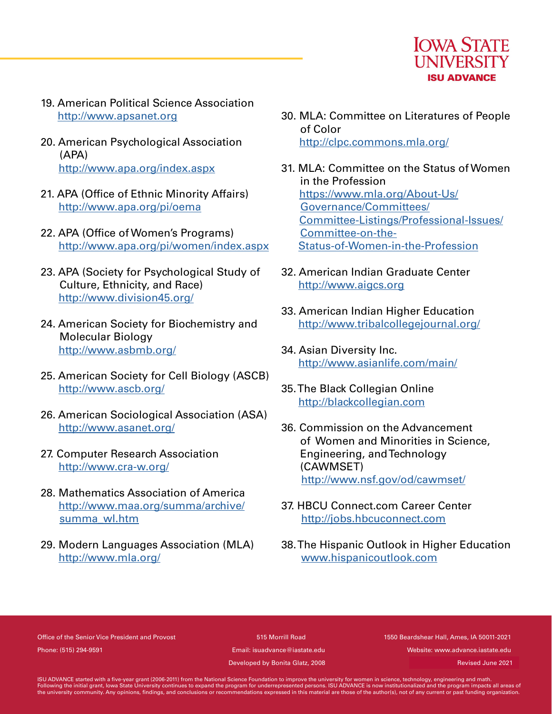

- 19. American Political Science Association http://www.apsanet.org
- 20. American Psychological Association (APA) http://www.apa.org/index.aspx
- 21. APA (Office of Ethnic Minority Affairs) http://www.apa.org/pi/oema
- 22. APA (Office of Women's Programs) http://www.apa.org/pi/women/index.aspx
- 23. APA (Society for Psychological Study of Culture, Ethnicity, and Race) http://www.division45.org/
- 24. American Society for Biochemistry and Molecular Biology http://www.asbmb.org/
- 25. American Society for Cell Biology (ASCB) http://www.ascb.org/
- 26. American Sociological Association (ASA) http://www.asanet.org/
- 27. Computer Research Association http://www.cra-w.org/
- 28. Mathematics Association of America http://www.maa.org/summa/archive/ summa\_wl.htm
- 29. Modern Languages Association (MLA) http://www.mla.org/
- 30. MLA: Committee on Literatures of People of Color http://clpc.commons.mla.org/
- 31. MLA: Committee on the Status of Women in the Profession https://www.mla.org/About-Us/ Governance/Committees/ Committee-Listings/Professional-Issues/ Committee-on-the-Status-of-Women-in-the-Profession
- 32. American Indian Graduate Center http://www.aigcs.org
- 33. American Indian Higher Education http://www.tribalcollegejournal.org/
- 34. Asian Diversity Inc. http://www.asianlife.com/main/
- 35. The Black Collegian Online http://blackcollegian.com
- 36. Commission on the Advancement of Women and Minorities in Science, Engineering, and Technology (CAWMSET) http://www.nsf.gov/od/cawmset/
- 37. HBCU Connect.com Career Center http://jobs.hbcuconnect.com
- 38. The Hispanic Outlook in Higher Education www.hispanicoutlook.com

Office of the Senior Vice President and Provost 515 Morrill Road 1550 Beardshear Hall, Ames, IA 50011-2021 Phone: (515) 294-9591 Email: isuadvance@iastate.edu Website: www.advance.iastate.edu

Developed by Bonita Glatz, 2008

Revised June 2021